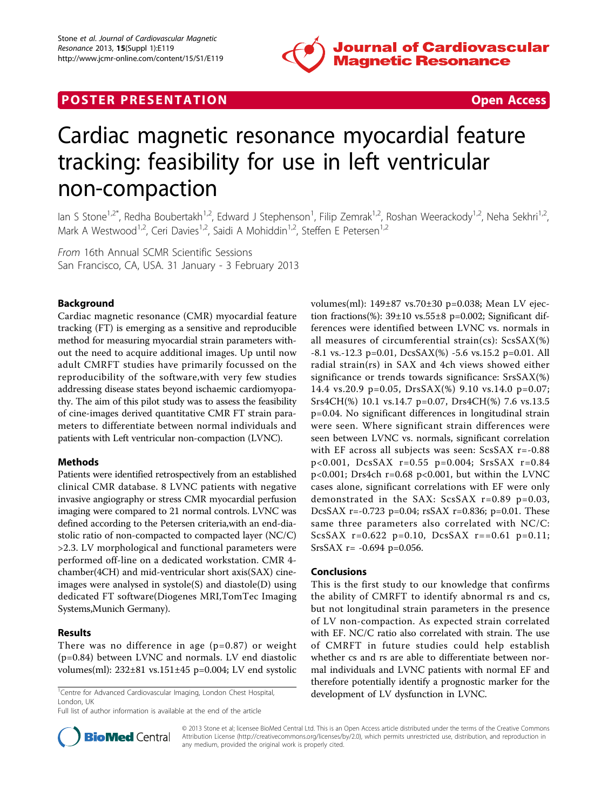

# **POSTER PRESENTATION CONSUMING THE SECOND CONSUMING THE SECOND CONSUMING THE SECOND CONSUMING THE SECOND CONSUMING THE SECOND CONSUMING THE SECOND CONSUMING THE SECOND CONSUMING THE SECOND CONSUMING THE SECOND CONSUMING**



# Cardiac magnetic resonance myocardial feature tracking: feasibility for use in left ventricular non-compaction

lan S Stone<sup>1,2\*</sup>, Redha Boubertakh<sup>1,2</sup>, Edward J Stephenson<sup>1</sup>, Filip Zemrak<sup>1,2</sup>, Roshan Weerackody<sup>1,2</sup>, Neha Sekhri<sup>1,2</sup>, Mark A Westwood<sup>1,2</sup>, Ceri Davies<sup>1,2</sup>, Saidi A Mohiddin<sup>1,2</sup>, Steffen E Petersen<sup>1,2</sup>

From 16th Annual SCMR Scientific Sessions San Francisco, CA, USA. 31 January - 3 February 2013

# Background

Cardiac magnetic resonance (CMR) myocardial feature tracking (FT) is emerging as a sensitive and reproducible method for measuring myocardial strain parameters without the need to acquire additional images. Up until now adult CMRFT studies have primarily focussed on the reproducibility of the software,with very few studies addressing disease states beyond ischaemic cardiomyopathy. The aim of this pilot study was to assess the feasibility of cine-images derived quantitative CMR FT strain parameters to differentiate between normal individuals and patients with Left ventricular non-compaction (LVNC).

### Methods

Patients were identified retrospectively from an established clinical CMR database. 8 LVNC patients with negative invasive angiography or stress CMR myocardial perfusion imaging were compared to 21 normal controls. LVNC was defined according to the Petersen criteria,with an end-diastolic ratio of non-compacted to compacted layer (NC/C) >2.3. LV morphological and functional parameters were performed off-line on a dedicated workstation. CMR 4 chamber(4CH) and mid-ventricular short axis(SAX) cineimages were analysed in systole(S) and diastole(D) using dedicated FT software(Diogenes MRI,TomTec Imaging Systems,Munich Germany).

### Results

There was no difference in age  $(p=0.87)$  or weight (p=0.84) between LVNC and normals. LV end diastolic volumes(ml): 232±81 vs.151±45 p=0.004; LV end systolic

<sup>1</sup> Centre for Advanced Cardiovascular Imaging, London Chest Hospital, **development of LV dysfunction in LVNC**. London, UK

Full list of author information is available at the end of the article

volumes(ml): 149±87 vs.70±30 p=0.038; Mean LV ejection fractions(%):  $39\pm10$  vs.55 $\pm8$  p=0.002; Significant differences were identified between LVNC vs. normals in all measures of circumferential strain(cs): ScsSAX(%) -8.1 vs.-12.3 p=0.01, DcsSAX(%) -5.6 vs.15.2 p=0.01. All radial strain(rs) in SAX and 4ch views showed either significance or trends towards significance: SrsSAX(%) 14.4 vs.20.9 p=0.05, DrsSAX(%) 9.10 vs.14.0 p=0.07; Srs4CH(%) 10.1 vs.14.7 p=0.07, Drs4CH(%) 7.6 vs.13.5 p=0.04. No significant differences in longitudinal strain were seen. Where significant strain differences were seen between LVNC vs. normals, significant correlation with EF across all subjects was seen: ScsSAX r=-0.88 p<0.001, DcsSAX r=0.55 p=0.004; SrsSAX r=0.84 p<0.001; Drs4ch r=0.68 p<0.001, but within the LVNC cases alone, significant correlations with EF were only demonstrated in the SAX: ScsSAX r=0.89 p=0.03, DcsSAX r=-0.723 p=0.04; rsSAX r=0.836; p=0.01. These same three parameters also correlated with NC/C: ScsSAX  $r=0.622$  p=0.10, DcsSAX  $r=-0.61$  p=0.11;  $SrsSAX$  r= -0.694 p=0.056.

#### Conclusions

This is the first study to our knowledge that confirms the ability of CMRFT to identify abnormal rs and cs, but not longitudinal strain parameters in the presence of LV non-compaction. As expected strain correlated with EF. NC/C ratio also correlated with strain. The use of CMRFT in future studies could help establish whether cs and rs are able to differentiate between normal individuals and LVNC patients with normal EF and therefore potentially identify a prognostic marker for the



© 2013 Stone et al; licensee BioMed Central Ltd. This is an Open Access article distributed under the terms of the Creative Commons Attribution License [\(http://creativecommons.org/licenses/by/2.0](http://creativecommons.org/licenses/by/2.0)), which permits unrestricted use, distribution, and reproduction in any medium, provided the original work is properly cited.